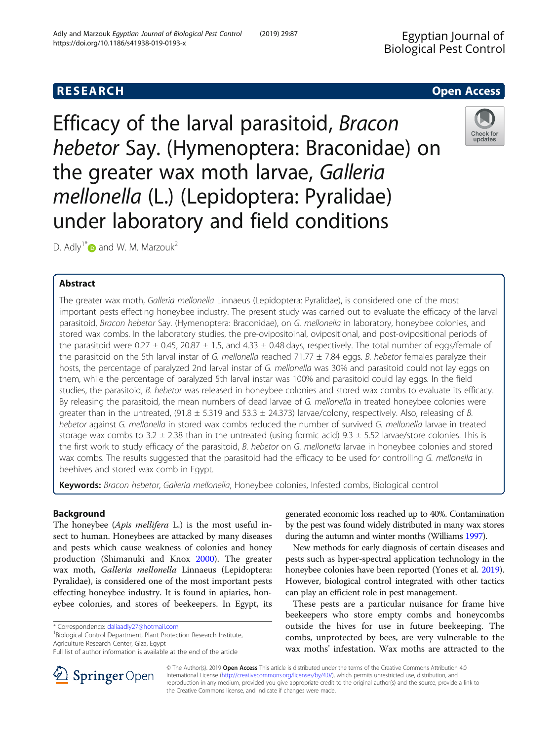# **RESEARCH CHE Open Access**

Efficacy of the larval parasitoid, Bracon hebetor Say. (Hymenoptera: Braconidae) on the greater wax moth larvae, Galleria mellonella (L.) (Lepidoptera: Pyralidae) under laboratory and field conditions

D. Adly<sup>1\*</sup> $\bullet$  and W. M. Marzouk<sup>2</sup>

# Abstract

The greater wax moth, Galleria mellonella Linnaeus (Lepidoptera: Pyralidae), is considered one of the most important pests effecting honeybee industry. The present study was carried out to evaluate the efficacy of the larval parasitoid, Bracon hebetor Say. (Hymenoptera: Braconidae), on G. mellonella in laboratory, honeybee colonies, and stored wax combs. In the laboratory studies, the pre-ovipositoinal, ovipositional, and post-ovipositional periods of the parasitoid were 0.27  $\pm$  0.45, 20.87  $\pm$  1.5, and 4.33  $\pm$  0.48 days, respectively. The total number of eggs/female of the parasitoid on the 5th larval instar of G. mellonella reached 71.77  $\pm$  7.84 eggs. B. hebetor females paralyze their hosts, the percentage of paralyzed 2nd larval instar of G. mellonella was 30% and parasitoid could not lay eggs on them, while the percentage of paralyzed 5th larval instar was 100% and parasitoid could lay eggs. In the field studies, the parasitoid, B. hebetor was released in honeybee colonies and stored wax combs to evaluate its efficacy. By releasing the parasitoid, the mean numbers of dead larvae of G. mellonella in treated honeybee colonies were greater than in the untreated, (91.8  $\pm$  5.319 and 53.3  $\pm$  24.373) larvae/colony, respectively. Also, releasing of B. hebetor against G. mellonella in stored wax combs reduced the number of survived G. mellonella larvae in treated storage wax combs to 3.2  $\pm$  2.38 than in the untreated (using formic acid) 9.3  $\pm$  5.52 larvae/store colonies. This is the first work to study efficacy of the parasitoid, B. hebetor on G. mellonella larvae in honeybee colonies and stored wax combs. The results suggested that the parasitoid had the efficacy to be used for controlling G. mellonella in beehives and stored wax comb in Egypt.

Keywords: Bracon hebetor, Galleria mellonella, Honeybee colonies, Infested combs, Biological control

# Background

The honeybee (Apis mellifera L.) is the most useful insect to human. Honeybees are attacked by many diseases and pests which cause weakness of colonies and honey production (Shimanuki and Knox [2000\)](#page-6-0). The greater wax moth, Galleria mellonella Linnaeus (Lepidoptera: Pyralidae), is considered one of the most important pests effecting honeybee industry. It is found in apiaries, honeybee colonies, and stores of beekeepers. In Egypt, its

\* Correspondence: [daliaadly27@hotmail.com](mailto:daliaadly27@hotmail.com) <sup>1</sup>

<sup>1</sup>Biological Control Department, Plant Protection Research Institute, Agriculture Research Center, Giza, Egypt

generated economic loss reached up to 40%. Contamination by the pest was found widely distributed in many wax stores during the autumn and winter months (Williams [1997\)](#page-6-0).

New methods for early diagnosis of certain diseases and pests such as hyper-spectral application technology in the honeybee colonies have been reported (Yones et al. [2019](#page-6-0)). However, biological control integrated with other tactics can play an efficient role in pest management.

These pests are a particular nuisance for frame hive beekeepers who store empty combs and honeycombs outside the hives for use in future beekeeping. The combs, unprotected by bees, are very vulnerable to the wax moths' infestation. Wax moths are attracted to the

© The Author(s). 2019 Open Access This article is distributed under the terms of the Creative Commons Attribution 4.0 International License ([http://creativecommons.org/licenses/by/4.0/\)](http://creativecommons.org/licenses/by/4.0/), which permits unrestricted use, distribution, and reproduction in any medium, provided you give appropriate credit to the original author(s) and the source, provide a link to the Creative Commons license, and indicate if changes were made.





Full list of author information is available at the end of the article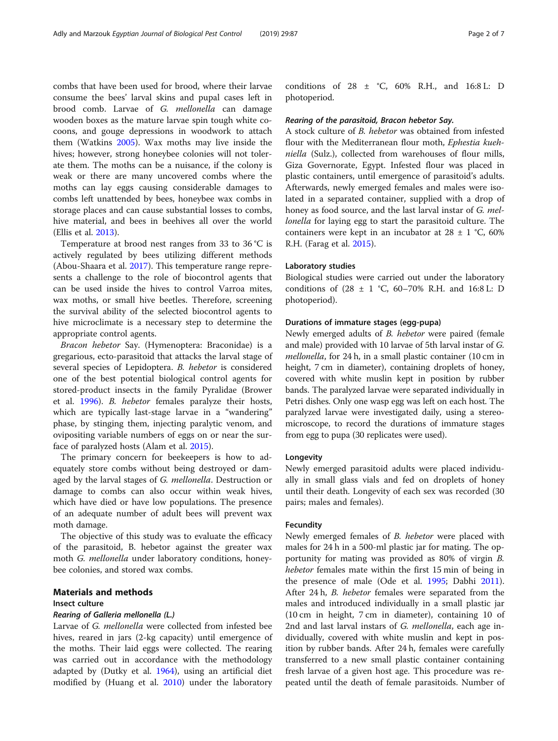combs that have been used for brood, where their larvae consume the bees' larval skins and pupal cases left in brood comb. Larvae of G. mellonella can damage wooden boxes as the mature larvae spin tough white cocoons, and gouge depressions in woodwork to attach them (Watkins [2005](#page-6-0)). Wax moths may live inside the hives; however, strong honeybee colonies will not tolerate them. The moths can be a nuisance, if the colony is weak or there are many uncovered combs where the moths can lay eggs causing considerable damages to combs left unattended by bees, honeybee wax combs in storage places and can cause substantial losses to combs, hive material, and bees in beehives all over the world (Ellis et al. [2013\)](#page-6-0).

Temperature at brood nest ranges from 33 to 36 °C is actively regulated by bees utilizing different methods (Abou-Shaara et al. [2017](#page-6-0)). This temperature range represents a challenge to the role of biocontrol agents that can be used inside the hives to control Varroa mites, wax moths, or small hive beetles. Therefore, screening the survival ability of the selected biocontrol agents to hive microclimate is a necessary step to determine the appropriate control agents.

Bracon hebetor Say. (Hymenoptera: Braconidae) is a gregarious, ecto-parasitoid that attacks the larval stage of several species of Lepidoptera. B. hebetor is considered one of the best potential biological control agents for stored-product insects in the family Pyralidae (Brower et al. [1996\)](#page-6-0). B. hebetor females paralyze their hosts, which are typically last-stage larvae in a "wandering" phase, by stinging them, injecting paralytic venom, and ovipositing variable numbers of eggs on or near the surface of paralyzed hosts (Alam et al. [2015\)](#page-6-0).

The primary concern for beekeepers is how to adequately store combs without being destroyed or damaged by the larval stages of G. mellonella. Destruction or damage to combs can also occur within weak hives, which have died or have low populations. The presence of an adequate number of adult bees will prevent wax moth damage.

The objective of this study was to evaluate the efficacy of the parasitoid, B. hebetor against the greater wax moth G. mellonella under laboratory conditions, honeybee colonies, and stored wax combs.

#### Materials and methods

### Insect culture

#### Rearing of Galleria mellonella (L.)

Larvae of G. mellonella were collected from infested bee hives, reared in jars (2-kg capacity) until emergence of the moths. Their laid eggs were collected. The rearing was carried out in accordance with the methodology adapted by (Dutky et al. [1964](#page-6-0)), using an artificial diet modified by (Huang et al. [2010\)](#page-6-0) under the laboratory

conditions of 28 ± °C, 60% R.H., and 16:8 L: D photoperiod.

#### Rearing of the parasitoid, Bracon hebetor Say.

A stock culture of B. hebetor was obtained from infested flour with the Mediterranean flour moth, Ephestia kuehniella (Sulz.), collected from warehouses of flour mills, Giza Governorate, Egypt. Infested flour was placed in plastic containers, until emergence of parasitoid's adults. Afterwards, newly emerged females and males were isolated in a separated container, supplied with a drop of honey as food source, and the last larval instar of G. mellonella for laying egg to start the parasitoid culture. The containers were kept in an incubator at  $28 \pm 1$  °C, 60% R.H. (Farag et al. [2015](#page-6-0)).

#### Laboratory studies

Biological studies were carried out under the laboratory conditions of (28 ± 1 °C, 60–70% R.H. and 16:8 L: D photoperiod).

#### Durations of immature stages (egg-pupa)

Newly emerged adults of B. hebetor were paired (female and male) provided with 10 larvae of 5th larval instar of G. mellonella, for 24 h, in a small plastic container (10 cm in height, 7 cm in diameter), containing droplets of honey, covered with white muslin kept in position by rubber bands. The paralyzed larvae were separated individually in Petri dishes. Only one wasp egg was left on each host. The paralyzed larvae were investigated daily, using a stereomicroscope, to record the durations of immature stages from egg to pupa (30 replicates were used).

### Longevity

Newly emerged parasitoid adults were placed individually in small glass vials and fed on droplets of honey until their death. Longevity of each sex was recorded (30 pairs; males and females).

### Fecundity

Newly emerged females of B. hebetor were placed with males for 24 h in a 500-ml plastic jar for mating. The opportunity for mating was provided as 80% of virgin B. hebetor females mate within the first 15 min of being in the presence of male (Ode et al. [1995;](#page-6-0) Dabhi [2011](#page-6-0)). After 24 h, B. hebetor females were separated from the males and introduced individually in a small plastic jar (10 cm in height, 7 cm in diameter), containing 10 of 2nd and last larval instars of G. mellonella, each age individually, covered with white muslin and kept in position by rubber bands. After 24 h, females were carefully transferred to a new small plastic container containing fresh larvae of a given host age. This procedure was repeated until the death of female parasitoids. Number of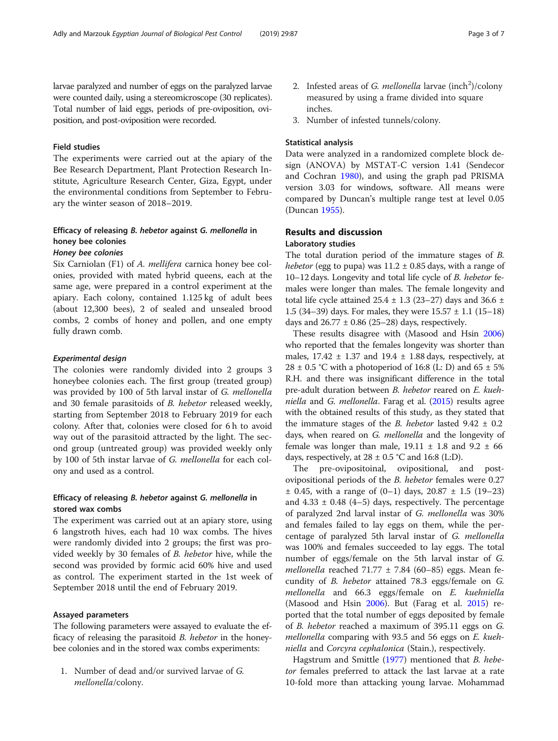larvae paralyzed and number of eggs on the paralyzed larvae were counted daily, using a stereomicroscope (30 replicates). Total number of laid eggs, periods of pre-oviposition, oviposition, and post-oviposition were recorded.

### Field studies

The experiments were carried out at the apiary of the Bee Research Department, Plant Protection Research Institute, Agriculture Research Center, Giza, Egypt, under the environmental conditions from September to February the winter season of 2018–2019.

# Efficacy of releasing B. hebetor against G. mellonella in honey bee colonies

# Honey bee colonies

Six Carniolan (F1) of A. mellifera carnica honey bee colonies, provided with mated hybrid queens, each at the same age, were prepared in a control experiment at the apiary. Each colony, contained 1.125 kg of adult bees (about 12,300 bees), 2 of sealed and unsealed brood combs, 2 combs of honey and pollen, and one empty fully drawn comb.

### Experimental design

The colonies were randomly divided into 2 groups 3 honeybee colonies each. The first group (treated group) was provided by 100 of 5th larval instar of G. mellonella and 30 female parasitoids of B. hebetor released weekly, starting from September 2018 to February 2019 for each colony. After that, colonies were closed for 6 h to avoid way out of the parasitoid attracted by the light. The second group (untreated group) was provided weekly only by 100 of 5th instar larvae of G. mellonella for each colony and used as a control.

### Efficacy of releasing B. hebetor against G. mellonella in stored wax combs

The experiment was carried out at an apiary store, using 6 langstroth hives, each had 10 wax combs. The hives were randomly divided into 2 groups; the first was provided weekly by 30 females of B. hebetor hive, while the second was provided by formic acid 60% hive and used as control. The experiment started in the 1st week of September 2018 until the end of February 2019.

### Assayed parameters

The following parameters were assayed to evaluate the efficacy of releasing the parasitoid B. hebetor in the honeybee colonies and in the stored wax combs experiments:

1. Number of dead and/or survived larvae of G. mellonella/colony.

- 2. Infested areas of G. mellonella larvae (inch<sup>2</sup>)/colony measured by using a frame divided into square inches.
- 3. Number of infested tunnels/colony.

#### Statistical analysis

Data were analyzed in a randomized complete block design (ANOVA) by MSTAT-C version 1.41 (Sendecor and Cochran [1980](#page-6-0)), and using the graph pad PRISMA version 3.03 for windows, software. All means were compared by Duncan's multiple range test at level 0.05 (Duncan [1955\)](#page-6-0).

# Results and discussion

### Laboratory studies

The total duration period of the immature stages of B. hebetor (egg to pupa) was  $11.2 \pm 0.85$  days, with a range of 10–12 days. Longevity and total life cycle of B. hebetor females were longer than males. The female longevity and total life cycle attained  $25.4 \pm 1.3$  (23–27) days and 36.6  $\pm$ 1.5 (34–39) days. For males, they were  $15.57 \pm 1.1$  (15–18) days and  $26.77 \pm 0.86$  (25–28) days, respectively.

These results disagree with (Masood and Hsin [2006](#page-6-0)) who reported that the females longevity was shorter than males,  $17.42 \pm 1.37$  and  $19.4 \pm 1.88$  days, respectively, at 28  $\pm$  0.5 °C with a photoperiod of 16:8 (L: D) and 65  $\pm$  5% R.H. and there was insignificant difference in the total pre-adult duration between B. hebetor reared on E. kuehniella and G. mellonella. Farag et al. ([2015\)](#page-6-0) results agree with the obtained results of this study, as they stated that the immature stages of the *B. hebetor* lasted  $9.42 \pm 0.2$ days, when reared on G. mellonella and the longevity of female was longer than male,  $19.11 \pm 1.8$  and  $9.2 \pm 66$ days, respectively, at  $28 \pm 0.5$  °C and 16:8 (L:D).

The pre-ovipositoinal, ovipositional, and postovipositional periods of the B. hebetor females were 0.27  $\pm$  0.45, with a range of (0–1) days, 20.87  $\pm$  1.5 (19–23) and  $4.33 \pm 0.48$  (4–5) days, respectively. The percentage of paralyzed 2nd larval instar of G. mellonella was 30% and females failed to lay eggs on them, while the percentage of paralyzed 5th larval instar of G. mellonella was 100% and females succeeded to lay eggs. The total number of eggs/female on the 5th larval instar of G. *mellonella* reached 71.77  $\pm$  7.84 (60–85) eggs. Mean fecundity of B. hebetor attained 78.3 eggs/female on G. mellonella and 66.3 eggs/female on E. kuehniella (Masood and Hsin [2006\)](#page-6-0). But (Farag et al. [2015](#page-6-0)) reported that the total number of eggs deposited by female of B. hebetor reached a maximum of 395.11 eggs on G. mellonella comparing with 93.5 and 56 eggs on E. kuehniella and Corcyra cephalonica (Stain.), respectively.

Hagstrum and Smittle ([1977](#page-6-0)) mentioned that *B. hebe*tor females preferred to attack the last larvae at a rate 10-fold more than attacking young larvae. Mohammad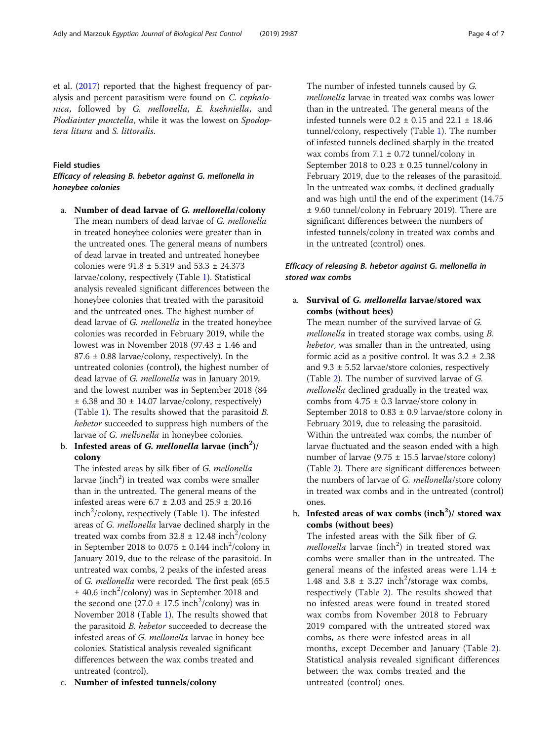et al. ([2017\)](#page-6-0) reported that the highest frequency of paralysis and percent parasitism were found on C. cephalonica, followed by G. mellonella, E. kuehniella, and Plodiainter punctella, while it was the lowest on Spodoptera litura and S. littoralis.

### Field studies

## Efficacy of releasing B. hebetor against G. mellonella in honeybee colonies

- a. Number of dead larvae of G. mellonella/colony The mean numbers of dead larvae of G. mellonella in treated honeybee colonies were greater than in the untreated ones. The general means of numbers of dead larvae in treated and untreated honeybee colonies were 91.8 ± 5.319 and 53.3 ± 24.373 larvae/colony, respectively (Table [1](#page-4-0)). Statistical analysis revealed significant differences between the honeybee colonies that treated with the parasitoid and the untreated ones. The highest number of dead larvae of G. mellonella in the treated honeybee colonies was recorded in February 2019, while the lowest was in November 2018 (97.43  $\pm$  1.46 and  $87.6 \pm 0.88$  larvae/colony, respectively). In the untreated colonies (control), the highest number of dead larvae of G. mellonella was in January 2019, and the lowest number was in September 2018 (84  $\pm$  6.38 and 30  $\pm$  14.07 larvae/colony, respectively) (Table [1\)](#page-4-0). The results showed that the parasitoid B. hebetor succeeded to suppress high numbers of the larvae of G. mellonella in honeybee colonies.
- b. Infested areas of *G. mellonella* larvae (inch<sup>2</sup>)/ colony

The infested areas by silk fiber of G. mellonella larvae (inch<sup>2</sup>) in treated wax combs were smaller than in the untreated. The general means of the infested areas were  $6.7 \pm 2.03$  and  $25.9 \pm 20.16$ inch<sup>2</sup>/colony, respectively (Table [1\)](#page-4-0). The infested areas of G. mellonella larvae declined sharply in the treated wax combs from  $32.8 \pm 12.48$  inch<sup>2</sup>/colony in September 2018 to  $0.075 \pm 0.144$  inch<sup>2</sup>/colony in January 2019, due to the release of the parasitoid. In untreated wax combs, 2 peaks of the infested areas of G. mellonella were recorded. The first peak (65.5  $\pm$  40.6 inch<sup>2</sup>/colony) was in September 2018 and the second one  $(27.0 \pm 17.5 \text{ inch}^2/\text{colony})$  was in November 2018 (Table [1](#page-4-0)). The results showed that the parasitoid B. hebetor succeeded to decrease the infested areas of G. mellonella larvae in honey bee colonies. Statistical analysis revealed significant differences between the wax combs treated and untreated (control).

c. Number of infested tunnels/colony

The number of infested tunnels caused by G. mellonella larvae in treated wax combs was lower than in the untreated. The general means of the infested tunnels were  $0.2 \pm 0.15$  and  $22.1 \pm 18.46$ tunnel/colony, respectively (Table [1](#page-4-0)). The number of infested tunnels declined sharply in the treated wax combs from  $7.1 \pm 0.72$  tunnel/colony in September 2018 to  $0.23 \pm 0.25$  tunnel/colony in February 2019, due to the releases of the parasitoid. In the untreated wax combs, it declined gradually and was high until the end of the experiment (14.75 ± 9.60 tunnel/colony in February 2019). There are significant differences between the numbers of infested tunnels/colony in treated wax combs and in the untreated (control) ones.

## Efficacy of releasing B. hebetor against G. mellonella in stored wax combs

## a. Survival of G. mellonella larvae/stored wax combs (without bees)

The mean number of the survived larvae of G. mellonella in treated storage wax combs, using B. hebetor, was smaller than in the untreated, using formic acid as a positive control. It was  $3.2 \pm 2.38$ and  $9.3 \pm 5.52$  larvae/store colonies, respectively (Table [2\)](#page-5-0). The number of survived larvae of G. mellonella declined gradually in the treated wax combs from  $4.75 \pm 0.3$  larvae/store colony in September 2018 to  $0.83 \pm 0.9$  larvae/store colony in February 2019, due to releasing the parasitoid. Within the untreated wax combs, the number of larvae fluctuated and the season ended with a high number of larvae (9.75  $\pm$  15.5 larvae/store colony) (Table [2\)](#page-5-0). There are significant differences between the numbers of larvae of G. mellonella/store colony in treated wax combs and in the untreated (control) ones.

b. Infested areas of wax combs  $(inch<sup>2</sup>)$ / stored wax combs (without bees)

The infested areas with the Silk fiber of G.  $mellonella$  larvae (inch<sup>2</sup>) in treated stored wax combs were smaller than in the untreated. The general means of the infested areas were  $1.14 \pm$ 1.48 and 3.8  $\pm$  3.27 inch<sup>2</sup>/storage wax combs, respectively (Table [2](#page-5-0)). The results showed that no infested areas were found in treated stored wax combs from November 2018 to February 2019 compared with the untreated stored wax combs, as there were infested areas in all months, except December and January (Table [2](#page-5-0)). Statistical analysis revealed significant differences between the wax combs treated and the untreated (control) ones.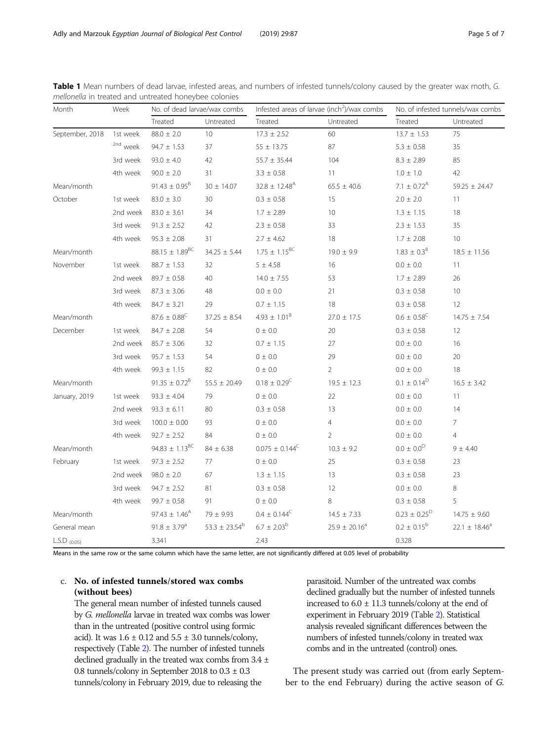| Month           | Week                | No. of dead larvae/wax combs   |                    | Infested areas of larvae (inch <sup>2</sup> )/wax combs |                    | No. of infested tunnels/wax combs |                               |
|-----------------|---------------------|--------------------------------|--------------------|---------------------------------------------------------|--------------------|-----------------------------------|-------------------------------|
|                 |                     | Treated                        | Untreated          | Treated                                                 | Untreated          | Treated                           | Untreated                     |
| September, 2018 | 1st week            | $88.0 \pm 2.0$                 | 10                 | $17.3 \pm 2.52$                                         | 60                 | $13.7 \pm 1.53$                   | 75                            |
|                 | <sup>2nd</sup> week | $94.7 \pm 1.53$                | 37                 | $55 \pm 13.75$                                          | 87                 | $5.3 \pm 0.58$                    | 35                            |
|                 | 3rd week            | $93.0 \pm 4.0$                 | 42                 | $55.7 \pm 35.44$                                        | 104                | $8.3 \pm 2.89$                    | 85                            |
|                 | 4th week            | $90.0 \pm 2.0$                 | 31                 | $3.3 \pm 0.58$                                          | 11                 | $1.0 \pm 1.0$                     | 42                            |
| Mean/month      |                     | $91.43 \pm 0.95^B$             | $30 \pm 14.07$     | $32.8 \pm 12.48^{\text{A}}$                             | $65.5 \pm 40.6$    | 7.1 $\pm$ 0.72 <sup>A</sup>       | $59.25 \pm 24.47$             |
| October         | 1st week            | $83.0 \pm 3.0$                 | 30                 | $0.3 \pm 0.58$                                          | 15                 | $2.0 \pm 2.0$                     | 11                            |
|                 | 2nd week            | $83.0 \pm 3.61$                | 34                 | $1.7 \pm 2.89$                                          | 10                 | $1.3 \pm 1.15$                    | 18                            |
|                 | 3rd week            | $91.3 \pm 2.52$                | 42                 | $2.3 \pm 0.58$                                          | 33                 | $2.3 \pm 1.53$                    | 35                            |
|                 | 4th week            | $95.3 \pm 2.08$                | 31                 | $2.7 \pm 4.62$                                          | 18                 | $1.7 \pm 2.08$                    | 10                            |
| Mean/month      |                     | $88.15 \pm 1.89^{BC}$          | $34.25 \pm 5.44$   | $1.75 \pm 1.15^{BC}$                                    | $19.0 \pm 9.9$     | $1.83 \pm 0.3^8$                  | $18.5 \pm 11.56$              |
| November        | 1st week            | $88.7 \pm 1.53$                | 32                 | $5 \pm 4.58$                                            | 16                 | $0.0 \pm 0.0$                     | 11                            |
|                 | 2nd week            | $89.7 \pm 0.58$                | 40                 | $14.0 \pm 7.55$                                         | 53                 | $1.7 \pm 2.89$                    | 26                            |
|                 | 3rd week            | $87.3 \pm 3.06$                | 48                 | $0.0\,\pm\,0.0$                                         | 21                 | $0.3 \pm 0.58$                    | 10 <sup>°</sup>               |
|                 | 4th week            | $84.7 \pm 3.21$                | 29                 | $0.7 \pm 1.15$                                          | 18                 | $0.3 \pm 0.58$                    | 12                            |
| Mean/month      |                     | $87.6 \pm 0.88^{\circ}$        | $37.25 \pm 8.54$   | $4.93 \pm 1.01^8$                                       | $27.0 \pm 17.5$    | $0.6 \pm 0.58^{\circ}$            | $14.75 \pm 7.54$              |
| December        | 1st week            | $84.7 \pm 2.08$                | 54                 | 0 ± 0.0                                                 | 20                 | $0.3 \pm 0.58$                    | 12                            |
|                 | 2nd week            | $85.7 \pm 3.06$                | 32                 | $0.7 \pm 1.15$                                          | 27                 | $0.0 \pm 0.0$                     | 16                            |
|                 | 3rd week            | $95.7 \pm 1.53$                | 54                 | $0 \pm 0.0$                                             | 29                 | $0.0\,\pm\,0.0$                   | 20                            |
|                 | 4th week            | $99.3 \pm 1.15$                | 82                 | $0\pm0.0$                                               | $\overline{2}$     | $0.0 \pm 0.0$                     | 18                            |
| Mean/month      |                     | $91.35 \pm 0.72^B$             | $55.5 \pm 20.49$   | $0.18 \pm 0.29^C$                                       | $19.5 \pm 12.3$    | $0.1 \pm 0.14^D$                  | $16.5 \pm 3.42$               |
| January, 2019   | 1st week            | $93.3 \pm 4.04$                | 79                 | $0 \pm 0.0$                                             | 22                 | $0.0 \pm 0.0$                     | 11                            |
|                 | 2nd week            | $93.3 \pm 6.11$                | 80                 | $0.3 \pm 0.58$                                          | 13                 | $0.0 \pm 0.0$                     | 14                            |
|                 | 3rd week            | $100.0 \pm 0.00$               | 93                 | 0 ± 0.0                                                 | $\overline{4}$     | $0.0 \pm 0.0$                     | $\overline{7}$                |
|                 | 4th week            | $92.7 \pm 2.52$                | 84                 | 0 ± 0.0                                                 | $\overline{2}$     | $0.0\,\pm\,0.0$                   | $\overline{4}$                |
| Mean/month      |                     | 94.83 $\pm$ 1.13 <sup>BC</sup> | $84 \pm 6.38$      | $0.075 \pm 0.144^C$                                     | $10.3 \pm 9.2$     | $0.0\pm\,0.0^\text{D}$            | $9 + 4.40$                    |
| February        | 1st week            | $97.3 \pm 2.52$                | 77                 | $0 \pm 0.0$                                             | 25                 | $0.3 \pm 0.58$                    | 23                            |
|                 | 2nd week            | $98.0 \pm 2.0$                 | 67                 | $1.3 \pm 1.15$                                          | 13                 | $0.3 \pm 0.58$                    | 23                            |
|                 | 3rd week            | $94.7 \pm 2.52$                | 81                 | $0.3 \pm 0.58$                                          | 12                 | $0.0 \pm 0.0$                     | 8                             |
|                 | 4th week            | $99.7 \pm 0.58$                | 91                 | $0 \pm 0.0$                                             | 8                  | $0.3 \pm 0.58$                    | 5                             |
| Mean/month      |                     | $97.43 \pm 1.46^{\text{A}}$    | $79 \pm 9.93$      | $0.4 \pm 0.144^C$                                       | $14.5 \pm 7.33$    | $0.23 \pm 0.25^{\circ}$           | $14.75 \pm 9.60$              |
| General mean    |                     | $91.8 \pm 3.79^a$              | $53.3 \pm 23.54^b$ | $6.7 \pm 2.03^{\rm b}$                                  | $25.9 \pm 20.16^a$ | $0.2 \pm 0.15^{\rm b}$            | 22.1 $\pm$ 18.46 <sup>a</sup> |
| $L.S.D$ (0.05)  |                     | 3.341                          |                    | 2.43                                                    |                    | 0.328                             |                               |

<span id="page-4-0"></span>Table 1 Mean numbers of dead larvae, infested areas, and numbers of infested tunnels/colony caused by the greater wax moth, G. mellonella in treated and untreated honeybee colonies

Means in the same row or the same column which have the same letter, are not significantly differed at 0.05 level of probability

## c. No. of infested tunnels/stored wax combs (without bees)

The general mean number of infested tunnels caused by G. mellonella larvae in treated wax combs was lower than in the untreated (positive control using formic acid). It was  $1.6 \pm 0.12$  and  $5.5 \pm 3.0$  tunnels/colony, respectively (Table [2](#page-5-0)). The number of infested tunnels declined gradually in the treated wax combs from 3.4 ± 0.8 tunnels/colony in September 2018 to  $0.3 \pm 0.3$ tunnels/colony in February 2019, due to releasing the

parasitoid. Number of the untreated wax combs declined gradually but the number of infested tunnels increased to 6.0  $\pm$  11.3 tunnels/colony at the end of experiment in February 2019 (Table [2\)](#page-5-0). Statistical analysis revealed significant differences between the numbers of infested tunnels/colony in treated wax combs and in the untreated (control) ones.

The present study was carried out (from early September to the end February) during the active season of G.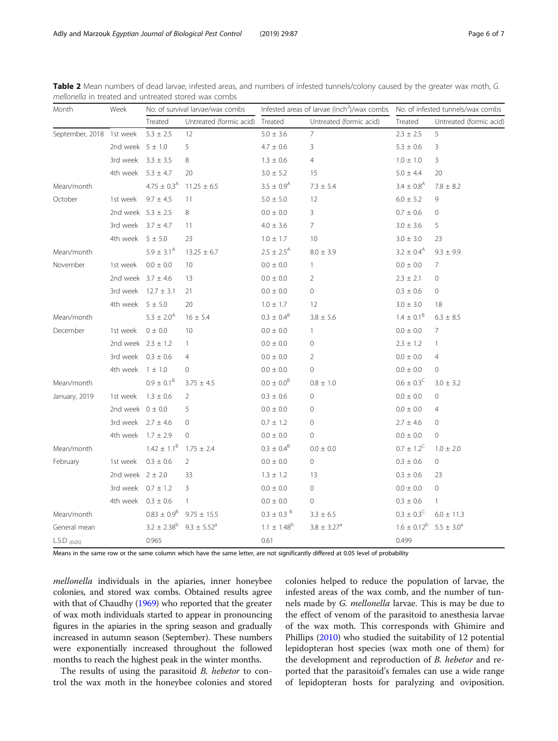| Month                    | Week                   | No. of survival larvae/wax combs |                         | Infested areas of larvae (inch <sup>2</sup> )/wax combs    No. of infested tunnels/wax combs |                         |                            |                         |
|--------------------------|------------------------|----------------------------------|-------------------------|----------------------------------------------------------------------------------------------|-------------------------|----------------------------|-------------------------|
|                          |                        | Treated                          | Untreated (formic acid) | Treated                                                                                      | Untreated (formic acid) | Treated                    | Untreated (formic acid) |
| September, 2018 1st week |                        | $5.3 \pm 2.5$                    | 12                      | $5.0 \pm 3.6$                                                                                | $\overline{7}$          | $2.3 \pm 2.5$              | 5                       |
|                          | 2nd week $5 \pm 1.0$   |                                  | 5                       | $4.7 \pm 0.6$                                                                                | 3                       | $5.3 \pm 0.6$              | 3                       |
|                          | 3rd week $3.3 \pm 3.5$ |                                  | 8                       | $1.3 \pm 0.6$                                                                                | $\overline{4}$          | $1.0 \pm 1.0$              | 3                       |
|                          | 4th week $5.3 \pm 4.7$ |                                  | 20                      | $3.0 \pm 5.2$                                                                                | 15                      | $5.0 \pm 4.4$              | 20                      |
| Mean/month               |                        | $4.75 \pm 0.3$ <sup>A</sup>      | $11.25 \pm 6.5$         | $3.5 \pm 0.9$ <sup>A</sup>                                                                   | $7.3 \pm 5.4$           | $3.4 \pm 0.8$ <sup>A</sup> | $7.8 \pm 8.2$           |
| October                  | 1st week               | $9.7 \pm 4.5$                    | 11                      | $5.0 \pm 5.0$                                                                                | 12                      | $6.0 \pm 5.2$              | 9                       |
|                          | 2nd week $5.3 \pm 2.5$ |                                  | 8                       | $0.0 \pm 0.0$                                                                                | $\mathbf{3}$            | $0.7 \pm 0.6$              | $\mathbf{0}$            |
|                          | 3rd week $3.7 \pm 4.7$ |                                  | 11                      | $4.0 \pm 3.6$                                                                                | $7^{\circ}$             | $3.0 \pm 3.6$              | 5                       |
|                          | 4th week $5 \pm 5.0$   |                                  | 23                      | $1.0 \pm 1.7$                                                                                | 10                      | $3.0 \pm 3.0$              | 23                      |
| Mean/month               |                        | $5.9 \pm 3.1^{\circ}$            | $13.25 \pm 6.7$         | $2.5 \pm 2.5^{\text{A}}$                                                                     | $8.0 \pm 3.9$           | $3.2 \pm 0.4^{\text{A}}$   | $9.3 \pm 9.9$           |
| November                 | 1st week               | $0.0 \pm 0.0$                    | 10                      | $0.0 \pm 0.0$                                                                                | $\mathbf{1}$            | $0.0 \pm 0.0$              | $\overline{7}$          |
|                          | 2nd week $3.7 \pm 4.6$ |                                  | 13                      | $0.0\,\pm\,0.0$                                                                              | $\overline{2}$          | $2.3 \pm 2.1$              | $\mathbf{0}$            |
|                          |                        | 3rd week $12.7 \pm 3.1$          | 21                      | $0.0 \pm 0.0$                                                                                | 0                       | $0.3 \pm 0.6$              | $\circ$                 |
|                          | 4th week $5 \pm 5.0$   |                                  | 20                      | $1.0 \pm 1.7$                                                                                | 12                      | $3.0 \pm 3.0$              | 18                      |
| Mean/month               |                        | $5.3 \pm 2.0^{\circ}$            | $16 \pm 5.4$            | $0.3 \pm 0.4^B$                                                                              | $3.8 \pm 5.6$           | $1.4 \pm 0.1^{\circ}$      | $6.3 \pm 8.5$           |
| December                 | 1st week               | $0 \pm 0.0$                      | 10                      | $0.0\,\pm\,0.0$                                                                              | $\mathbf{1}$            | $0.0 \pm 0.0$              | 7                       |
|                          | 2nd week $2.3 \pm 1.2$ |                                  | $\mathbf{1}$            | $0.0 \pm 0.0$                                                                                | 0                       | $2.3 \pm 1.2$              | $\mathbf{1}$            |
|                          | 3rd week $0.3 \pm 0.6$ |                                  | $\overline{4}$          | $0.0 \pm 0.0$                                                                                | 2                       | $0.0 \pm 0.0$              | $\overline{4}$          |
|                          | 4th week $1 \pm 1.0$   |                                  | $\circ$                 | $0.0 \pm 0.0$                                                                                | $\overline{0}$          | $0.0 \pm 0.0$              | $\circ$                 |
| Mean/month               |                        | $0.9 \pm 0.1^8$                  | $3.75 \pm 4.5$          | $0.0 \pm 0.0^8$                                                                              | $0.8 \pm 1.0$           | $0.6 \pm 0.3^{\circ}$      | $3.0 \pm 3.2$           |
| January, 2019            | 1st week               | $1.3 \pm 0.6$                    | 2                       | $0.3 \pm 0.6$                                                                                | $\Omega$                | $0.0 \pm 0.0$              | $\overline{0}$          |
|                          | 2nd week $0 \pm 0.0$   |                                  | 5                       | $0.0 \pm 0.0$                                                                                | $\Omega$                | $0.0 \pm 0.0$              | $\overline{4}$          |
|                          | 3rd week $2.7 \pm 4.6$ |                                  | $\mathbf 0$             | $0.7 \pm 1.2$                                                                                | 0                       | $2.7 \pm 4.6$              | $\mathbf{0}$            |
|                          | 4th week $1.7 \pm 2.9$ |                                  | $\mathbf{0}$            | $0.0 \pm 0.0$                                                                                | 0                       | $0.0 \pm 0.0$              | $\mathbf{0}$            |
| Mean/month               |                        | $1.42 \pm 1.1^8$                 | $1.75 \pm 2.4$          | $0.3 \pm 0.4^{\text{B}}$                                                                     | $0.0 \pm 0.0$           | $0.7 \pm 1.2^C$            | $1.0 \pm 2.0$           |
| February                 | 1st week               | $0.3 \pm 0.6$                    | $\overline{2}$          | $0.0\,\pm\,0.0$                                                                              | $\circ$                 | $0.3 \pm 0.6$              | $\mathbf 0$             |
|                          | 2nd week $2 \pm 2.0$   |                                  | 33                      | $1.3 \pm 1.2$                                                                                | 13                      | $0.3 \pm 0.6$              | 23                      |
|                          | 3rd week $0.7 \pm 1.2$ |                                  | 3                       | $0.0 \pm 0.0$                                                                                | 0                       | $0.0\,\pm\,0.0$            | 0                       |
|                          | 4th week $0.3 \pm 0.6$ |                                  | $\mathbf{1}$            | $0.0 \pm 0.0$                                                                                | 0                       | $0.3 \pm 0.6$              | $\mathbf{1}$            |
| Mean/month               |                        | $0.83 \pm 0.9^8$                 | $9.75 \pm 15.5$         | $0.3 \pm 0.3$ <sup>B</sup>                                                                   | $3.3 \pm 6.5$           | $0.3 \pm 0.3^{\circ}$      | $6.0 \pm 11.3$          |
| General mean             |                        | $3.2 \pm 2.38^b$                 | $9.3 \pm 5.52^a$        | $1.1 \pm 1.48^b$                                                                             | $3.8 \pm 3.27^a$        | $1.6 \pm 0.12^b$           | $5.5 \pm 3.0^{\circ}$   |
| L.S.D $(0.05)$           |                        | 0.965                            |                         | 0.61                                                                                         |                         | 0.499                      |                         |

<span id="page-5-0"></span>Table 2 Mean numbers of dead larvae, infested areas, and numbers of infested tunnels/colony caused by the greater wax moth, G. mellonella in treated and untreated stored wax combs

Means in the same row or the same column which have the same letter, are not significantly differed at 0.05 level of probability

mellonella individuals in the apiaries, inner honeybee colonies, and stored wax combs. Obtained results agree with that of Chaudhy [\(1969\)](#page-6-0) who reported that the greater of wax moth individuals started to appear in pronouncing figures in the apiaries in the spring season and gradually increased in autumn season (September). These numbers were exponentially increased throughout the followed months to reach the highest peak in the winter months.

The results of using the parasitoid B. hebetor to control the wax moth in the honeybee colonies and stored colonies helped to reduce the population of larvae, the infested areas of the wax comb, and the number of tunnels made by G. mellonella larvae. This is may be due to the effect of venom of the parasitoid to anesthesia larvae of the wax moth. This corresponds with Ghimire and Phillips [\(2010\)](#page-6-0) who studied the suitability of 12 potential lepidopteran host species (wax moth one of them) for the development and reproduction of B. hebetor and reported that the parasitoid's females can use a wide range of lepidopteran hosts for paralyzing and oviposition.